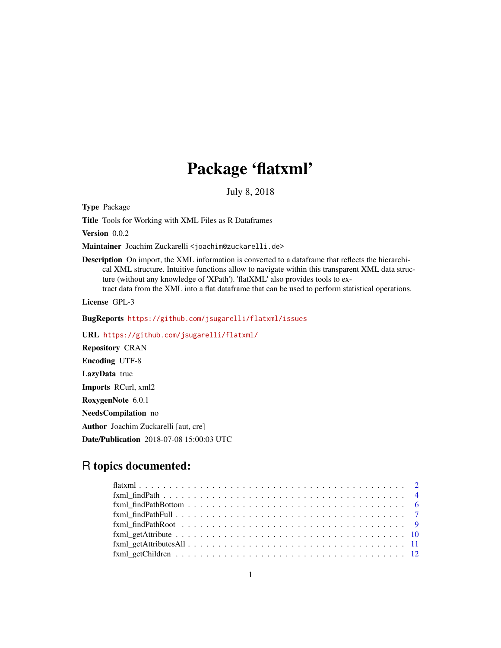# Package 'flatxml'

July 8, 2018

Type Package

Title Tools for Working with XML Files as R Dataframes

Version 0.0.2

Maintainer Joachim Zuckarelli <joachim@zuckarelli.de>

Description On import, the XML information is converted to a dataframe that reflects the hierarchical XML structure. Intuitive functions allow to navigate within this transparent XML data structure (without any knowledge of 'XPath'). 'flatXML' also provides tools to extract data from the XML into a flat dataframe that can be used to perform statistical operations.

License GPL-3

BugReports <https://github.com/jsugarelli/flatxml/issues>

URL <https://github.com/jsugarelli/flatxml/>

Repository CRAN Encoding UTF-8 LazyData true Imports RCurl, xml2 RoxygenNote 6.0.1 NeedsCompilation no Author Joachim Zuckarelli [aut, cre] Date/Publication 2018-07-08 15:00:03 UTC

# R topics documented:

| $fcm$ $fcm$ $fm$ $fm$ $fm$ $fm$ $fm$ $fm$ $fm$ $fm$ $fm$ $fm$ , $fm$ , $fm$ , $fm$ , $fm$ , $fm$ , $fm$ , $fm$ , $fm$ , $fm$ , $fm$ , $fm$ , $fm$ , $fm$ |  |
|----------------------------------------------------------------------------------------------------------------------------------------------------------|--|
|                                                                                                                                                          |  |
|                                                                                                                                                          |  |
|                                                                                                                                                          |  |
|                                                                                                                                                          |  |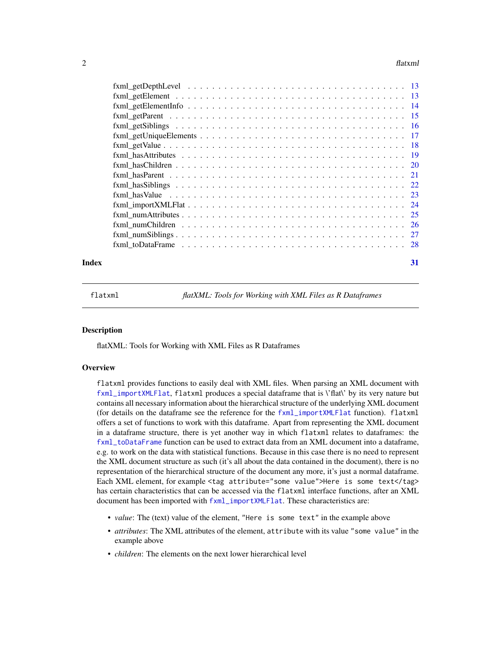#### <span id="page-1-0"></span> $2<sup>2</sup>$

| Index | 31 |
|-------|----|
|       |    |

flatxml *flatXML: Tools for Working with XML Files as R Dataframes*

#### **Description**

flatXML: Tools for Working with XML Files as R Dataframes

#### **Overview**

flatxml provides functions to easily deal with XML files. When parsing an XML document with [fxml\\_importXMLFlat](#page-23-1), flatxml produces a special dataframe that is \'flat\' by its very nature but contains all necessary information about the hierarchical structure of the underlying XML document (for details on the dataframe see the reference for the [fxml\\_importXMLFlat](#page-23-1) function). flatxml offers a set of functions to work with this dataframe. Apart from representing the XML document in a dataframe structure, there is yet another way in which flatxml relates to dataframes: the [fxml\\_toDataFrame](#page-27-1) function can be used to extract data from an XML document into a dataframe, e.g. to work on the data with statistical functions. Because in this case there is no need to represent the XML document structure as such (it's all about the data contained in the document), there is no representation of the hierarchical structure of the document any more, it's just a normal dataframe. Each XML element, for example <tag attribute="some value">Here is some text</tag> has certain characteristics that can be accessed via the flatxml interface functions, after an XML document has been imported with [fxml\\_importXMLFlat](#page-23-1). These characteristics are:

- *value*: The (text) value of the element, "Here is some text" in the example above
- *attributes*: The XML attributes of the element, attribute with its value "some value" in the example above
- *children*: The elements on the next lower hierarchical level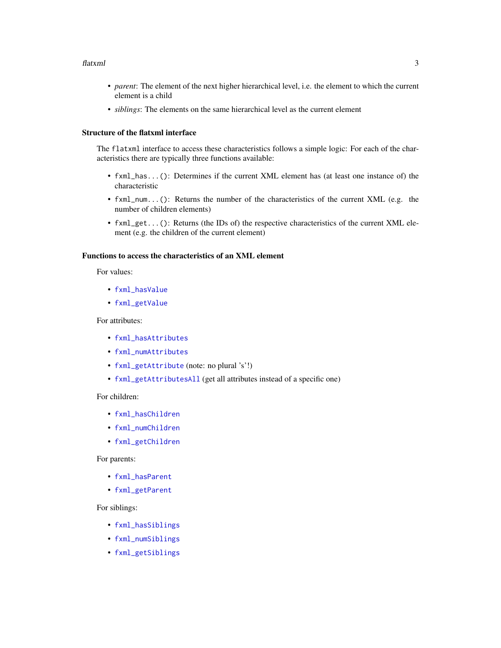#### <span id="page-2-0"></span>flatxml 3

- *parent*: The element of the next higher hierarchical level, i.e. the element to which the current element is a child
- *siblings*: The elements on the same hierarchical level as the current element

#### Structure of the flatxml interface

The flatxml interface to access these characteristics follows a simple logic: For each of the characteristics there are typically three functions available:

- fxml\_has...(): Determines if the current XML element has (at least one instance of) the characteristic
- fxml\_num...(): Returns the number of the characteristics of the current XML (e.g. the number of children elements)
- fxml\_get...(): Returns (the IDs of) the respective characteristics of the current XML element (e.g. the children of the current element)

# Functions to access the characteristics of an XML element

For values:

- [fxml\\_hasValue](#page-22-1)
- [fxml\\_getValue](#page-17-1)

# For attributes:

- [fxml\\_hasAttributes](#page-18-1)
- [fxml\\_numAttributes](#page-24-1)
- [fxml\\_getAttribute](#page-9-1) (note: no plural 's'!)
- [fxml\\_getAttributesAll](#page-10-1) (get all attributes instead of a specific one)

# For children:

- [fxml\\_hasChildren](#page-19-1)
- [fxml\\_numChildren](#page-25-1)
- [fxml\\_getChildren](#page-11-1)

# For parents:

- [fxml\\_hasParent](#page-20-1)
- [fxml\\_getParent](#page-14-1)

# For siblings:

- [fxml\\_hasSiblings](#page-21-1)
- [fxml\\_numSiblings](#page-26-1)
- [fxml\\_getSiblings](#page-15-1)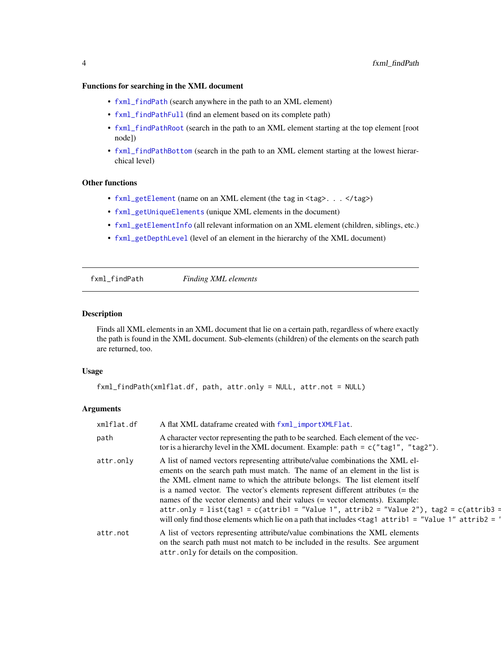# <span id="page-3-0"></span>Functions for searching in the XML document

- [fxml\\_findPath](#page-3-1) (search anywhere in the path to an XML element)
- [fxml\\_findPathFull](#page-6-1) (find an element based on its complete path)
- [fxml\\_findPathRoot](#page-8-1) (search in the path to an XML element starting at the top element [root node])
- [fxml\\_findPathBottom](#page-5-1) (search in the path to an XML element starting at the lowest hierarchical level)

#### Other functions

- [fxml\\_getElement](#page-12-1) (name on an XML element (the tag in <tag>. . . </tag>)
- [fxml\\_getUniqueElements](#page-16-1) (unique XML elements in the document)
- [fxml\\_getElementInfo](#page-13-1) (all relevant information on an XML element (children, siblings, etc.)
- [fxml\\_getDepthLevel](#page-12-2) (level of an element in the hierarchy of the XML document)

<span id="page-3-1"></span>fxml\_findPath *Finding XML elements*

#### Description

Finds all XML elements in an XML document that lie on a certain path, regardless of where exactly the path is found in the XML document. Sub-elements (children) of the elements on the search path are returned, too.

#### Usage

```
fxml_findPath(xmlflat.df, path, attr.only = NULL, attr.not = NULL)
```
# Arguments

| xmlflat.df | A flat XML dataframe created with fxml_importXMLFlat.                                                                                                                                                                                                                                                                                                                                                                                                                                                                                                                                                                          |
|------------|--------------------------------------------------------------------------------------------------------------------------------------------------------------------------------------------------------------------------------------------------------------------------------------------------------------------------------------------------------------------------------------------------------------------------------------------------------------------------------------------------------------------------------------------------------------------------------------------------------------------------------|
| path       | A character vector representing the path to be searched. Each element of the vec-<br>tor is a hierarchy level in the XML document. Example: path = $c("tag1", "tag2").$                                                                                                                                                                                                                                                                                                                                                                                                                                                        |
| attr.only  | A list of named vectors representing attribute/value combinations the XML el-<br>ements on the search path must match. The name of an element in the list is<br>the XML elment name to which the attribute belongs. The list element itself<br>is a named vector. The vector's elements represent different attributes (= the<br>names of the vector elements) and their values (= vector elements). Example:<br>attr.only = list(tag1 = c(attrib1 = "Value 1", attrib2 = "Value 2"), tag2 = c(attrib3 =<br>will only find those elements which lie on a path that includes $\langle \text{tag}$ attrib1 = "Value 1" attrib2 = |
| attr.not   | A list of vectors representing attribute/value combinations the XML elements<br>on the search path must not match to be included in the results. See argument<br>attr.only for details on the composition.                                                                                                                                                                                                                                                                                                                                                                                                                     |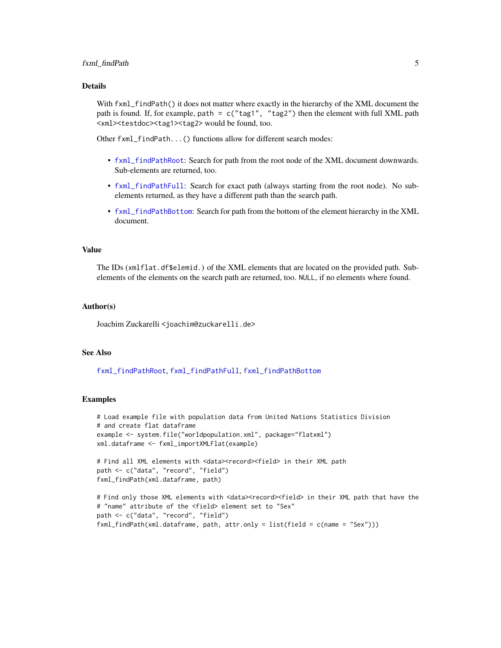#### <span id="page-4-0"></span>Details

With fxml\_findPath() it does not matter where exactly in the hierarchy of the XML document the path is found. If, for example, path =  $c("tag1", "tag2")$  then the element with full XML path <xml><testdoc><tag1><tag2> would be found, too.

Other fxml\_findPath...() functions allow for different search modes:

- [fxml\\_findPathRoot](#page-8-1): Search for path from the root node of the XML document downwards. Sub-elements are returned, too.
- [fxml\\_findPathFull](#page-6-1): Search for exact path (always starting from the root node). No subelements returned, as they have a different path than the search path.
- [fxml\\_findPathBottom](#page-5-1): Search for path from the bottom of the element hierarchy in the XML document.

#### Value

The IDs (xmlflat.df\$elemid.) of the XML elements that are located on the provided path. Subelements of the elements on the search path are returned, too. NULL, if no elements where found.

#### Author(s)

Joachim Zuckarelli <joachim@zuckarelli.de>

#### See Also

[fxml\\_findPathRoot](#page-8-1), [fxml\\_findPathFull](#page-6-1), [fxml\\_findPathBottom](#page-5-1)

```
# Load example file with population data from United Nations Statistics Division
# and create flat dataframe
example <- system.file("worldpopulation.xml", package="flatxml")
xml.dataframe <- fxml_importXMLFlat(example)
# Find all XML elements with <data><record><field> in their XML path
path <- c("data", "record", "field")
fxml_findPath(xml.dataframe, path)
# Find only those XML elements with <data><record><field> in their XML path that have the
# "name" attribute of the <field> element set to "Sex"
path <- c("data", "record", "field")
fxml_findPath(xml.dataframe, path, attr.only = list(field = c(name = "Sex")))
```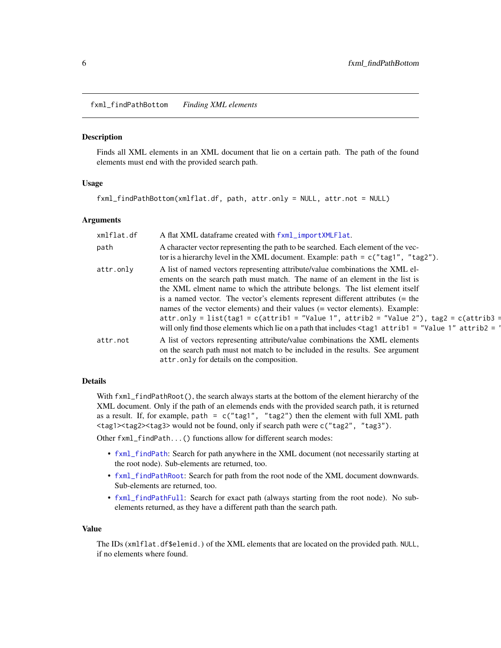<span id="page-5-1"></span><span id="page-5-0"></span>fxml\_findPathBottom *Finding XML elements*

#### **Description**

Finds all XML elements in an XML document that lie on a certain path. The path of the found elements must end with the provided search path.

#### Usage

fxml\_findPathBottom(xmlflat.df, path, attr.only = NULL, attr.not = NULL)

#### Arguments

| xmlflat.df | A flat XML dataframe created with fxml_importXMLFlat.                                                                                                                                                                                                                                                                                                                                                                                                                                                                                                                                                                                            |
|------------|--------------------------------------------------------------------------------------------------------------------------------------------------------------------------------------------------------------------------------------------------------------------------------------------------------------------------------------------------------------------------------------------------------------------------------------------------------------------------------------------------------------------------------------------------------------------------------------------------------------------------------------------------|
| path       | A character vector representing the path to be searched. Each element of the vec-<br>tor is a hierarchy level in the XML document. Example: path = $c("tag1", "tag2").$                                                                                                                                                                                                                                                                                                                                                                                                                                                                          |
| attr.only  | A list of named vectors representing attribute/value combinations the XML el-<br>ements on the search path must match. The name of an element in the list is<br>the XML elment name to which the attribute belongs. The list element itself<br>is a named vector. The vector's elements represent different attributes $(=$ the<br>names of the vector elements) and their values (= vector elements). Example:<br>attr.only = list(tag1 = c(attrib1 = "Value 1", attrib2 = "Value 2"), tag2 = c(attrib3 =<br>will only find those elements which lie on a path that includes $\langle \text{tag}1 \text{ attrib1} = \text{"Value 1" attrib2} =$ |
| attr.not   | A list of vectors representing attribute/value combinations the XML elements<br>on the search path must not match to be included in the results. See argument<br>attr.only for details on the composition.                                                                                                                                                                                                                                                                                                                                                                                                                                       |

# Details

With fxml\_findPathRoot(), the search always starts at the bottom of the element hierarchy of the XML document. Only if the path of an elemends ends with the provided search path, it is returned as a result. If, for example, path =  $c("tag1", "tag2")$  then the element with full XML path <tag1><tag2><tag3> would not be found, only if search path were c("tag2", "tag3").

Other fxml\_findPath...() functions allow for different search modes:

- [fxml\\_findPath](#page-3-1): Search for path anywhere in the XML document (not necessarily starting at the root node). Sub-elements are returned, too.
- [fxml\\_findPathRoot](#page-8-1): Search for path from the root node of the XML document downwards. Sub-elements are returned, too.
- [fxml\\_findPathFull](#page-6-1): Search for exact path (always starting from the root node). No subelements returned, as they have a different path than the search path.

#### Value

The IDs (xmlflat.df\$elemid.) of the XML elements that are located on the provided path. NULL, if no elements where found.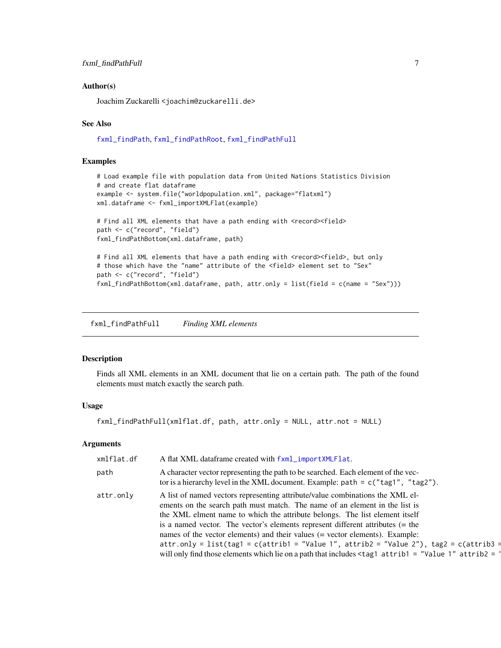#### <span id="page-6-0"></span>Author(s)

Joachim Zuckarelli <joachim@zuckarelli.de>

#### See Also

[fxml\\_findPath](#page-3-1), [fxml\\_findPathRoot](#page-8-1), [fxml\\_findPathFull](#page-6-1)

# Examples

```
# Load example file with population data from United Nations Statistics Division
# and create flat dataframe
example <- system.file("worldpopulation.xml", package="flatxml")
xml.dataframe <- fxml_importXMLFlat(example)
# Find all XML elements that have a path ending with <record><field>
path <- c("record", "field")
fxml_findPathBottom(xml.dataframe, path)
# Find all XML elements that have a path ending with <record><field>, but only
```

```
# those which have the "name" attribute of the <field> element set to "Sex"
path <- c("record", "field")
fxml_findPathBottom(xml.dataframe, path, attr.only = list(field = c(name = "Sex")))
```
<span id="page-6-1"></span>fxml\_findPathFull *Finding XML elements*

#### Description

Finds all XML elements in an XML document that lie on a certain path. The path of the found elements must match exactly the search path.

#### Usage

fxml\_findPathFull(xmlflat.df, path, attr.only = NULL, attr.not = NULL)

#### Arguments

| xmlflat.df | A flat XML dataframe created with fxml_importXMLFlat.                                                                                                                                                                                                                                                                                                                                                                                                                                                                                                                                                                                            |
|------------|--------------------------------------------------------------------------------------------------------------------------------------------------------------------------------------------------------------------------------------------------------------------------------------------------------------------------------------------------------------------------------------------------------------------------------------------------------------------------------------------------------------------------------------------------------------------------------------------------------------------------------------------------|
| path       | A character vector representing the path to be searched. Each element of the vec-<br>tor is a hierarchy level in the XML document. Example: $path = c("tag1", "tag2").$                                                                                                                                                                                                                                                                                                                                                                                                                                                                          |
| attr.only  | A list of named vectors representing attribute/value combinations the XML el-<br>ements on the search path must match. The name of an element in the list is<br>the XML elment name to which the attribute belongs. The list element itself<br>is a named vector. The vector's elements represent different attributes $(=$ the<br>names of the vector elements) and their values (= vector elements). Example:<br>attr.only = list(tag1 = c(attrib1 = "Value 1", attrib2 = "Value 2"), tag2 = c(attrib3 =<br>will only find those elements which lie on a path that includes $\langle \text{tag}1 \text{ attrib1} = \text{"Value 1" attrib2} =$ |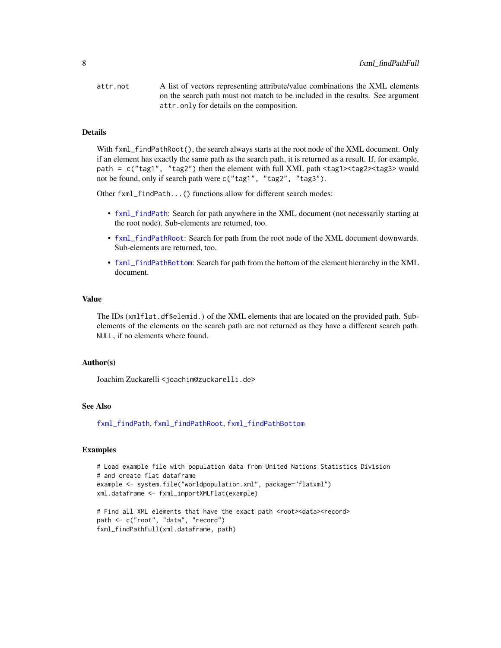<span id="page-7-0"></span>attr.not A list of vectors representing attribute/value combinations the XML elements on the search path must not match to be included in the results. See argument attr.only for details on the composition.

#### Details

With fxml\_findPathRoot(), the search always starts at the root node of the XML document. Only if an element has exactly the same path as the search path, it is returned as a result. If, for example, path = c("tag1", "tag2") then the element with full XML path <tag1><tag2><tag3> would not be found, only if search path were c("tag1", "tag2", "tag3").

Other fxml\_findPath...() functions allow for different search modes:

- [fxml\\_findPath](#page-3-1): Search for path anywhere in the XML document (not necessarily starting at the root node). Sub-elements are returned, too.
- [fxml\\_findPathRoot](#page-8-1): Search for path from the root node of the XML document downwards. Sub-elements are returned, too.
- [fxml\\_findPathBottom](#page-5-1): Search for path from the bottom of the element hierarchy in the XML document.

# Value

The IDs (xmlflat.df\$elemid.) of the XML elements that are located on the provided path. Subelements of the elements on the search path are not returned as they have a different search path. NULL, if no elements where found.

#### Author(s)

Joachim Zuckarelli <joachim@zuckarelli.de>

#### See Also

[fxml\\_findPath](#page-3-1), [fxml\\_findPathRoot](#page-8-1), [fxml\\_findPathBottom](#page-5-1)

```
# Load example file with population data from United Nations Statistics Division
# and create flat dataframe
example <- system.file("worldpopulation.xml", package="flatxml")
xml.dataframe <- fxml_importXMLFlat(example)
```

```
# Find all XML elements that have the exact path <root><data><record>
path <- c("root", "data", "record")
fxml_findPathFull(xml.dataframe, path)
```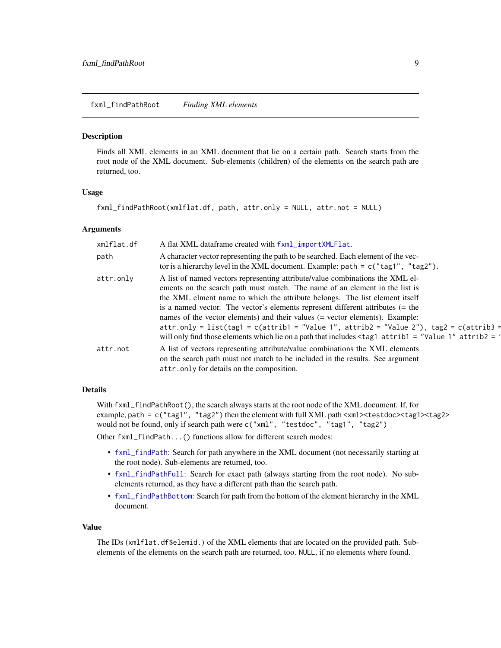<span id="page-8-1"></span><span id="page-8-0"></span>fxml\_findPathRoot *Finding XML elements*

#### Description

Finds all XML elements in an XML document that lie on a certain path. Search starts from the root node of the XML document. Sub-elements (children) of the elements on the search path are returned, too.

#### Usage

```
fxml_findPathRoot(xmlflat.df, path, attr.only = NULL, attr.not = NULL)
```
#### Arguments

| xmlflat.df | A flat XML dataframe created with fxml_importXMLFlat.                                                                                                                                                                                                                                                                                                                                                                                                                                                                                                                                                                                            |
|------------|--------------------------------------------------------------------------------------------------------------------------------------------------------------------------------------------------------------------------------------------------------------------------------------------------------------------------------------------------------------------------------------------------------------------------------------------------------------------------------------------------------------------------------------------------------------------------------------------------------------------------------------------------|
| path       | A character vector representing the path to be searched. Each element of the vec-<br>tor is a hierarchy level in the XML document. Example: path = $c("tag1", "tag2").$                                                                                                                                                                                                                                                                                                                                                                                                                                                                          |
| attr.only  | A list of named vectors representing attribute/value combinations the XML el-<br>ements on the search path must match. The name of an element in the list is<br>the XML elment name to which the attribute belongs. The list element itself<br>is a named vector. The vector's elements represent different attributes $(=$ the<br>names of the vector elements) and their values (= vector elements). Example:<br>attr.only = list(tag1 = c(attrib1 = "Value 1", attrib2 = "Value 2"), tag2 = c(attrib3 =<br>will only find those elements which lie on a path that includes $\langle \text{tag}1 \text{ attrib1} = \text{"Value 1" attrib2} =$ |
| attr.not   | A list of vectors representing attribute/value combinations the XML elements<br>on the search path must not match to be included in the results. See argument<br>attr. only for details on the composition.                                                                                                                                                                                                                                                                                                                                                                                                                                      |

# Details

With fxml\_findPathRoot(), the search always starts at the root node of the XML document. If, for example, path = c("tag1", "tag2") then the element with full XML path <xml><testdoc><tag1><tag2> would not be found, only if search path were c("xml", "testdoc", "tag1", "tag2")

Other fxml\_findPath...() functions allow for different search modes:

- [fxml\\_findPath](#page-3-1): Search for path anywhere in the XML document (not necessarily starting at the root node). Sub-elements are returned, too.
- [fxml\\_findPathFull](#page-6-1): Search for exact path (always starting from the root node). No subelements returned, as they have a different path than the search path.
- [fxml\\_findPathBottom](#page-5-1): Search for path from the bottom of the element hierarchy in the XML document.

#### Value

The IDs (xmlflat.df\$elemid.) of the XML elements that are located on the provided path. Subelements of the elements on the search path are returned, too. NULL, if no elements where found.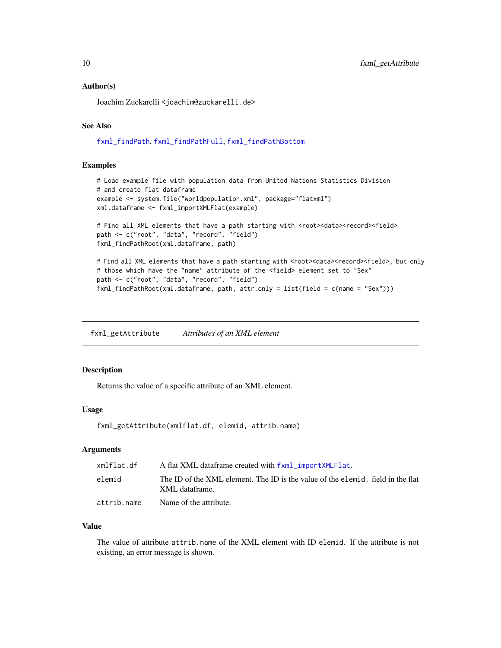#### <span id="page-9-0"></span>Author(s)

Joachim Zuckarelli <joachim@zuckarelli.de>

# See Also

[fxml\\_findPath](#page-3-1), [fxml\\_findPathFull](#page-6-1), [fxml\\_findPathBottom](#page-5-1)

#### Examples

```
# Load example file with population data from United Nations Statistics Division
# and create flat dataframe
example <- system.file("worldpopulation.xml", package="flatxml")
xml.dataframe <- fxml_importXMLFlat(example)
# Find all XML elements that have a path starting with <root><data><record><field>
path <- c("root", "data", "record", "field")
fxml_findPathRoot(xml.dataframe, path)
```

```
# Find all XML elements that have a path starting with <root><data><record><field>, but only
# those which have the "name" attribute of the <field> element set to "Sex"
path <- c("root", "data", "record", "field")
fxml_findPathRoot(xml.dataframe, path, attr.only = list(field = c(name = "Sex")))
```
<span id="page-9-1"></span>fxml\_getAttribute *Attributes of an XML element*

# Description

Returns the value of a specific attribute of an XML element.

#### Usage

```
fxml_getAttribute(xmlflat.df, elemid, attrib.name)
```
# Arguments

| xmlflat.df  | A flat XML dataframe created with fxml_importXMLFlat.                                             |
|-------------|---------------------------------------------------------------------------------------------------|
| elemid      | The ID of the XML element. The ID is the value of the elemid. field in the flat<br>XML dataframe. |
| attrib.name | Name of the attribute.                                                                            |

# Value

The value of attribute attrib.name of the XML element with ID elemid. If the attribute is not existing, an error message is shown.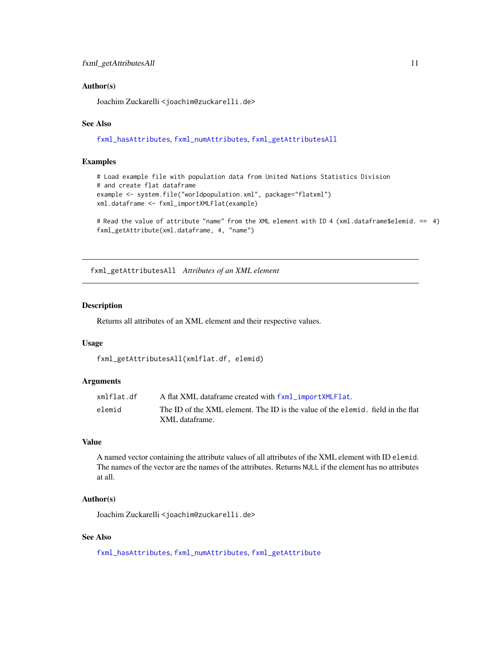#### <span id="page-10-0"></span>Author(s)

Joachim Zuckarelli <joachim@zuckarelli.de>

# See Also

[fxml\\_hasAttributes](#page-18-1), [fxml\\_numAttributes](#page-24-1), [fxml\\_getAttributesAll](#page-10-1)

# Examples

```
# Load example file with population data from United Nations Statistics Division
# and create flat dataframe
example <- system.file("worldpopulation.xml", package="flatxml")
xml.dataframe <- fxml_importXMLFlat(example)
```

```
# Read the value of attribute "name" from the XML element with ID 4 (xml.dataframe$elemid. == 4)
fxml_getAttribute(xml.dataframe, 4, "name")
```
<span id="page-10-1"></span>fxml\_getAttributesAll *Attributes of an XML element*

# Description

Returns all attributes of an XML element and their respective values.

#### Usage

```
fxml_getAttributesAll(xmlflat.df, elemid)
```
#### **Arguments**

| xmlflat.df | A flat XML dataframe created with fxml_importXMLFlat.                                             |
|------------|---------------------------------------------------------------------------------------------------|
| elemid     | The ID of the XML element. The ID is the value of the elemid, field in the flat<br>XML dataframe. |

# Value

A named vector containing the attribute values of all attributes of the XML element with ID elemid. The names of the vector are the names of the attributes. Returns NULL if the element has no attributes at all.

# Author(s)

Joachim Zuckarelli <joachim@zuckarelli.de>

# See Also

[fxml\\_hasAttributes](#page-18-1), [fxml\\_numAttributes](#page-24-1), [fxml\\_getAttribute](#page-9-1)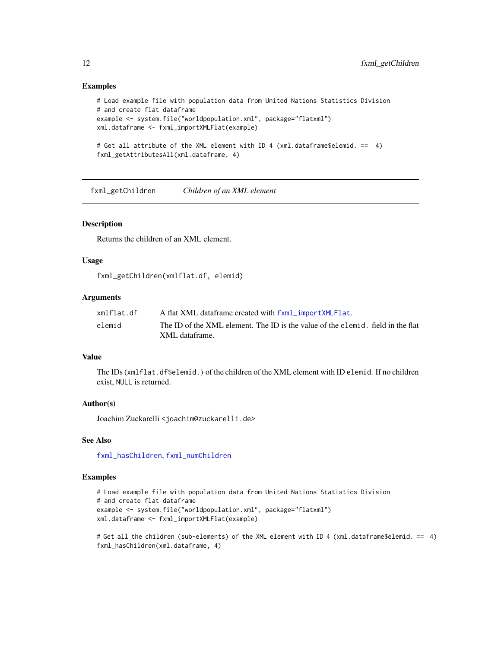#### Examples

```
# Load example file with population data from United Nations Statistics Division
# and create flat dataframe
example <- system.file("worldpopulation.xml", package="flatxml")
xml.dataframe <- fxml_importXMLFlat(example)
# Get all attribute of the XML element with ID 4 (xml.dataframe$elemid. == 4)
fxml_getAttributesAll(xml.dataframe, 4)
```
<span id="page-11-1"></span>fxml\_getChildren *Children of an XML element*

#### Description

Returns the children of an XML element.

# Usage

fxml\_getChildren(xmlflat.df, elemid)

# Arguments

| xmlflat.df | A flat XML dataframe created with fxml_importXMLFlat.                                             |
|------------|---------------------------------------------------------------------------------------------------|
| elemid     | The ID of the XML element. The ID is the value of the elemid, field in the flat<br>XML dataframe. |

# Value

The IDs (xmlflat.df\$elemid.) of the children of the XML element with ID elemid. If no children exist, NULL is returned.

#### Author(s)

Joachim Zuckarelli <joachim@zuckarelli.de>

#### See Also

[fxml\\_hasChildren](#page-19-1), [fxml\\_numChildren](#page-25-1)

```
# Load example file with population data from United Nations Statistics Division
# and create flat dataframe
example <- system.file("worldpopulation.xml", package="flatxml")
xml.dataframe <- fxml_importXMLFlat(example)
```

```
# Get all the children (sub-elements) of the XML element with ID 4 (xml.dataframe$elemid. == 4)
fxml_hasChildren(xml.dataframe, 4)
```
<span id="page-11-0"></span>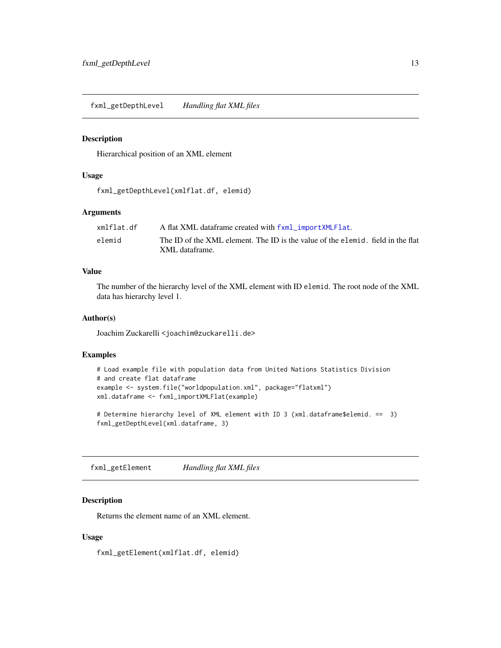<span id="page-12-2"></span><span id="page-12-0"></span>fxml\_getDepthLevel *Handling flat XML files*

#### Description

Hierarchical position of an XML element

# Usage

fxml\_getDepthLevel(xmlflat.df, elemid)

# Arguments

| xmlflat.df | A flat XML dataframe created with fxml_importXMLFlat.                                             |
|------------|---------------------------------------------------------------------------------------------------|
| elemid     | The ID of the XML element. The ID is the value of the elemid, field in the flat<br>XML dataframe. |

# Value

The number of the hierarchy level of the XML element with ID elemid. The root node of the XML data has hierarchy level 1.

#### Author(s)

Joachim Zuckarelli <joachim@zuckarelli.de>

#### Examples

```
# Load example file with population data from United Nations Statistics Division
# and create flat dataframe
example <- system.file("worldpopulation.xml", package="flatxml")
xml.dataframe <- fxml_importXMLFlat(example)
```
# Determine hierarchy level of XML element with ID 3 (xml.dataframe\$elemid. == 3) fxml\_getDepthLevel(xml.dataframe, 3)

<span id="page-12-1"></span>fxml\_getElement *Handling flat XML files*

#### Description

Returns the element name of an XML element.

#### Usage

fxml\_getElement(xmlflat.df, elemid)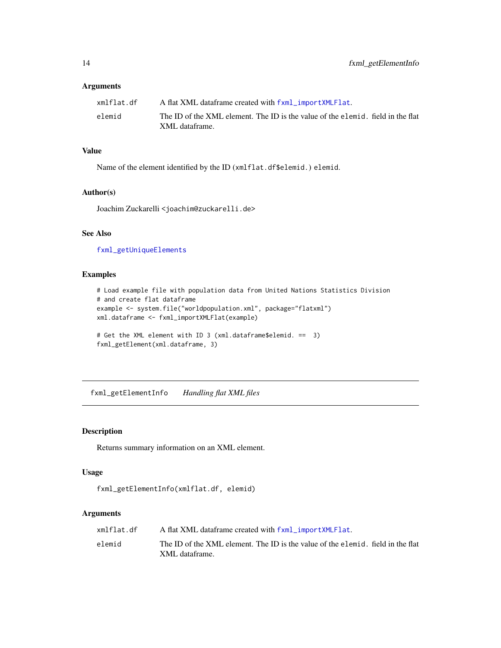# <span id="page-13-0"></span>Arguments

| xmlflat.df | A flat XML dataframe created with fxml_importXMLFlat.                                             |
|------------|---------------------------------------------------------------------------------------------------|
| elemid     | The ID of the XML element. The ID is the value of the elemid, field in the flat<br>XML dataframe. |

## Value

Name of the element identified by the ID (xmlflat.df\$elemid.) elemid.

#### Author(s)

Joachim Zuckarelli <joachim@zuckarelli.de>

# See Also

[fxml\\_getUniqueElements](#page-16-1)

# Examples

```
# Load example file with population data from United Nations Statistics Division
# and create flat dataframe
example <- system.file("worldpopulation.xml", package="flatxml")
xml.dataframe <- fxml_importXMLFlat(example)
# Get the XML element with ID 3 (xml.dataframe$elemid. == 3)
```

```
fxml_getElement(xml.dataframe, 3)
```
<span id="page-13-1"></span>fxml\_getElementInfo *Handling flat XML files*

# Description

Returns summary information on an XML element.

# Usage

```
fxml_getElementInfo(xmlflat.df, elemid)
```
# Arguments

| xmlflat.df | A flat XML dataframe created with fxml_importXMLFlat.                                             |
|------------|---------------------------------------------------------------------------------------------------|
| elemid     | The ID of the XML element. The ID is the value of the elemid, field in the flat<br>XML dataframe. |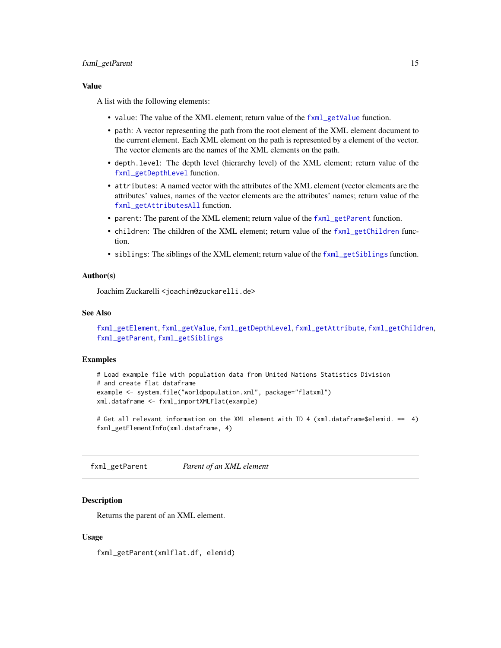# <span id="page-14-0"></span>fxml\_getParent 15

## Value

A list with the following elements:

- value: The value of the XML element; return value of the [fxml\\_getValue](#page-17-1) function.
- path: A vector representing the path from the root element of the XML element document to the current element. Each XML element on the path is represented by a element of the vector. The vector elements are the names of the XML elements on the path.
- depth.level: The depth level (hierarchy level) of the XML element; return value of the [fxml\\_getDepthLevel](#page-12-2) function.
- attributes: A named vector with the attributes of the XML element (vector elements are the attributes' values, names of the vector elements are the attributes' names; return value of the [fxml\\_getAttributesAll](#page-10-1) function.
- parent: The parent of the XML element; return value of the [fxml\\_getParent](#page-14-1) function.
- children: The children of the XML element; return value of the [fxml\\_getChildren](#page-11-1) function.
- siblings: The siblings of the XML element; return value of the  $f\text{cm}$  getSiblings function.

#### Author(s)

Joachim Zuckarelli <joachim@zuckarelli.de>

#### See Also

```
fxml_getElement, fxml_getValue, fxml_getDepthLevel, fxml_getAttribute, fxml_getChildren,
fxml_getParent, fxml_getSiblings
```
# Examples

```
# Load example file with population data from United Nations Statistics Division
# and create flat dataframe
example <- system.file("worldpopulation.xml", package="flatxml")
xml.dataframe <- fxml_importXMLFlat(example)
```
# Get all relevant information on the XML element with ID 4 (xml.dataframe\$elemid. == 4) fxml\_getElementInfo(xml.dataframe, 4)

<span id="page-14-1"></span>fxml\_getParent *Parent of an XML element*

# Description

Returns the parent of an XML element.

#### Usage

fxml\_getParent(xmlflat.df, elemid)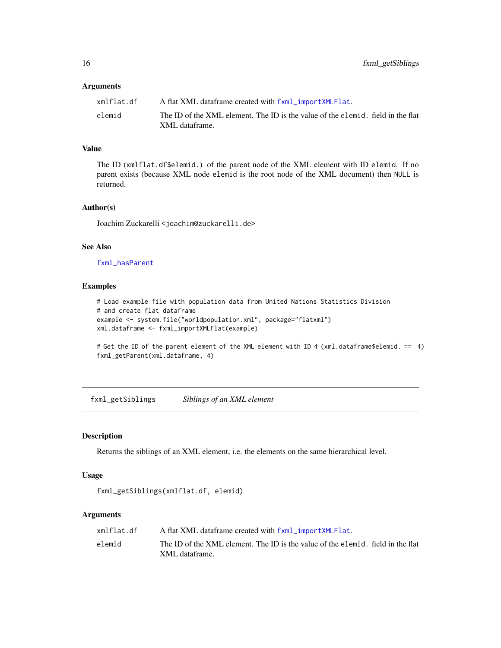#### <span id="page-15-0"></span>**Arguments**

| xmlflat.df | A flat XML dataframe created with fxml_importXMLFlat.                                             |
|------------|---------------------------------------------------------------------------------------------------|
| elemid     | The ID of the XML element. The ID is the value of the elemid. field in the flat<br>XML dataframe. |

# Value

The ID (xmlflat.df\$elemid.) of the parent node of the XML element with ID elemid. If no parent exists (because XML node elemid is the root node of the XML document) then NULL is returned.

# Author(s)

Joachim Zuckarelli <joachim@zuckarelli.de>

# See Also

[fxml\\_hasParent](#page-20-1)

#### Examples

```
# Load example file with population data from United Nations Statistics Division
# and create flat dataframe
example <- system.file("worldpopulation.xml", package="flatxml")
xml.dataframe <- fxml_importXMLFlat(example)
```
# Get the ID of the parent element of the XML element with ID 4 (xml.dataframe\$elemid. == 4) fxml\_getParent(xml.dataframe, 4)

<span id="page-15-1"></span>fxml\_getSiblings *Siblings of an XML element*

# Description

Returns the siblings of an XML element, i.e. the elements on the same hierarchical level.

## Usage

```
fxml_getSiblings(xmlflat.df, elemid)
```
# Arguments

| xmlflat.df | A flat XML dataframe created with fxml_importXMLFlat.                           |
|------------|---------------------------------------------------------------------------------|
| elemid     | The ID of the XML element. The ID is the value of the elemid, field in the flat |
|            | XML dataframe.                                                                  |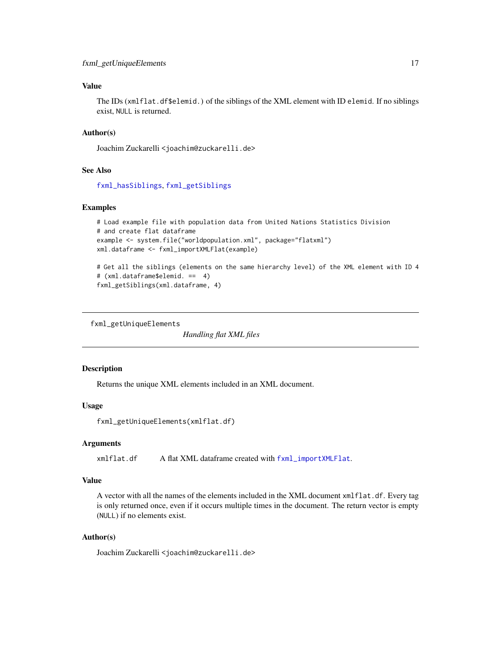# <span id="page-16-0"></span>Value

The IDs (xmlflat.df\$elemid.) of the siblings of the XML element with ID elemid. If no siblings exist, NULL is returned.

# Author(s)

Joachim Zuckarelli <joachim@zuckarelli.de>

# See Also

[fxml\\_hasSiblings](#page-21-1), [fxml\\_getSiblings](#page-15-1)

# Examples

```
# Load example file with population data from United Nations Statistics Division
# and create flat dataframe
example <- system.file("worldpopulation.xml", package="flatxml")
xml.dataframe <- fxml_importXMLFlat(example)
```

```
# Get all the siblings (elements on the same hierarchy level) of the XML element with ID 4
# (xml.dataframe$elemid. == 4)
fxml_getSiblings(xml.dataframe, 4)
```
<span id="page-16-1"></span>fxml\_getUniqueElements

*Handling flat XML files*

# Description

Returns the unique XML elements included in an XML document.

#### Usage

fxml\_getUniqueElements(xmlflat.df)

#### Arguments

xmlflat.df A flat XML dataframe created with [fxml\\_importXMLFlat](#page-23-1).

#### Value

A vector with all the names of the elements included in the XML document xmlflat.df. Every tag is only returned once, even if it occurs multiple times in the document. The return vector is empty (NULL) if no elements exist.

#### Author(s)

Joachim Zuckarelli <joachim@zuckarelli.de>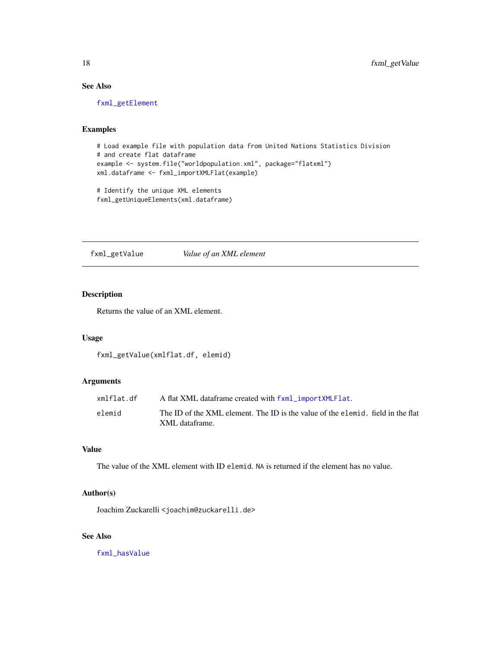# See Also

[fxml\\_getElement](#page-12-1)

#### Examples

```
# Load example file with population data from United Nations Statistics Division
# and create flat dataframe
example <- system.file("worldpopulation.xml", package="flatxml")
xml.dataframe <- fxml_importXMLFlat(example)
```

```
# Identify the unique XML elements
fxml_getUniqueElements(xml.dataframe)
```
<span id="page-17-1"></span>fxml\_getValue *Value of an XML element*

# Description

Returns the value of an XML element.

#### Usage

fxml\_getValue(xmlflat.df, elemid)

#### Arguments

| xmlflat.df | A flat XML dataframe created with fxml_importXMLFlat.                           |
|------------|---------------------------------------------------------------------------------|
| elemid     | The ID of the XML element. The ID is the value of the elemid, field in the flat |
|            | XML dataframe.                                                                  |

# Value

The value of the XML element with ID elemid. NA is returned if the element has no value.

# Author(s)

Joachim Zuckarelli <joachim@zuckarelli.de>

# See Also

[fxml\\_hasValue](#page-22-1)

<span id="page-17-0"></span>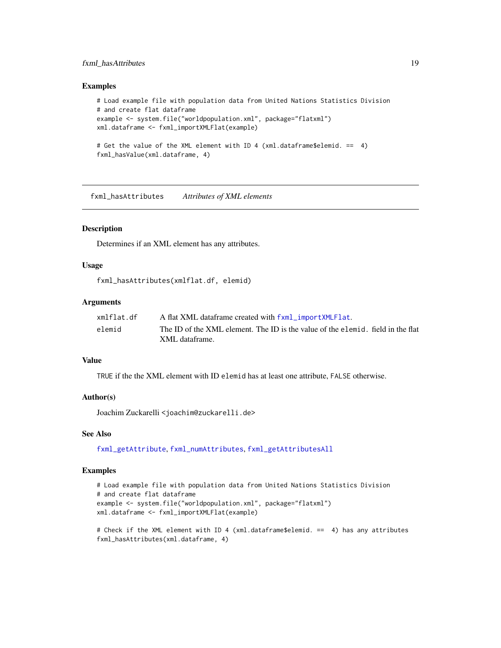# <span id="page-18-0"></span>fxml\_hasAttributes 19

#### Examples

```
# Load example file with population data from United Nations Statistics Division
# and create flat dataframe
example <- system.file("worldpopulation.xml", package="flatxml")
xml.dataframe <- fxml_importXMLFlat(example)
# Get the value of the XML element with ID 4 (xml.dataframe$elemid. == 4)
```
<span id="page-18-1"></span>fxml\_hasAttributes *Attributes of XML elements*

fxml\_hasValue(xml.dataframe, 4)

# Description

Determines if an XML element has any attributes.

#### Usage

```
fxml_hasAttributes(xmlflat.df, elemid)
```
# **Arguments**

| xmlflat.df | A flat XML dataframe created with fxml_importXMLFlat.                                             |
|------------|---------------------------------------------------------------------------------------------------|
| elemid     | The ID of the XML element. The ID is the value of the elemid, field in the flat<br>XML dataframe. |

#### Value

TRUE if the the XML element with ID elemid has at least one attribute, FALSE otherwise.

#### Author(s)

Joachim Zuckarelli <joachim@zuckarelli.de>

#### See Also

[fxml\\_getAttribute](#page-9-1), [fxml\\_numAttributes](#page-24-1), [fxml\\_getAttributesAll](#page-10-1)

```
# Load example file with population data from United Nations Statistics Division
# and create flat dataframe
example <- system.file("worldpopulation.xml", package="flatxml")
xml.dataframe <- fxml_importXMLFlat(example)
```

```
# Check if the XML element with ID 4 (xml.dataframe$elemid. == 4) has any attributes
fxml_hasAttributes(xml.dataframe, 4)
```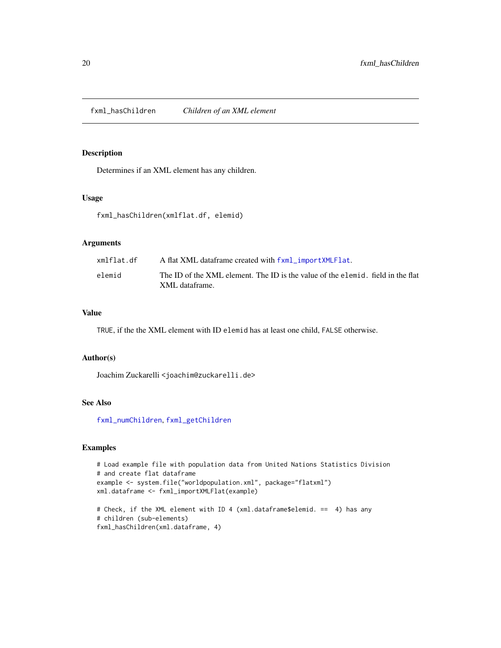<span id="page-19-1"></span><span id="page-19-0"></span>fxml\_hasChildren *Children of an XML element*

# Description

Determines if an XML element has any children.

# Usage

fxml\_hasChildren(xmlflat.df, elemid)

# Arguments

| xmlflat.df | A flat XML dataframe created with fxml_importXMLFlat.                                             |
|------------|---------------------------------------------------------------------------------------------------|
| elemid     | The ID of the XML element. The ID is the value of the elemid, field in the flat<br>XML dataframe. |

#### Value

TRUE, if the the XML element with ID elemid has at least one child, FALSE otherwise.

#### Author(s)

Joachim Zuckarelli <joachim@zuckarelli.de>

# See Also

[fxml\\_numChildren](#page-25-1), [fxml\\_getChildren](#page-11-1)

```
# Load example file with population data from United Nations Statistics Division
# and create flat dataframe
example <- system.file("worldpopulation.xml", package="flatxml")
xml.dataframe <- fxml_importXMLFlat(example)
# Check, if the XML element with ID 4 (xml.dataframe$elemid. == 4) has any
```

```
# children (sub-elements)
fxml_hasChildren(xml.dataframe, 4)
```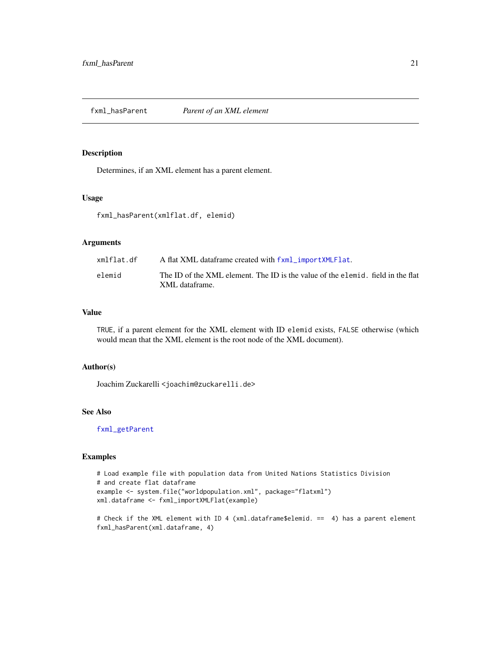<span id="page-20-1"></span><span id="page-20-0"></span>fxml\_hasParent *Parent of an XML element*

# Description

Determines, if an XML element has a parent element.

# Usage

fxml\_hasParent(xmlflat.df, elemid)

# Arguments

| xmlflat.df | A flat XML dataframe created with fxml_importXMLFlat.                                             |
|------------|---------------------------------------------------------------------------------------------------|
| elemid     | The ID of the XML element. The ID is the value of the elemid, field in the flat<br>XML dataframe. |

#### Value

TRUE, if a parent element for the XML element with ID elemid exists, FALSE otherwise (which would mean that the XML element is the root node of the XML document).

#### Author(s)

Joachim Zuckarelli <joachim@zuckarelli.de>

# See Also

[fxml\\_getParent](#page-14-1)

```
# Load example file with population data from United Nations Statistics Division
# and create flat dataframe
example <- system.file("worldpopulation.xml", package="flatxml")
xml.dataframe <- fxml_importXMLFlat(example)
```

```
# Check if the XML element with ID 4 (xml.dataframe$elemid. == 4) has a parent element
fxml_hasParent(xml.dataframe, 4)
```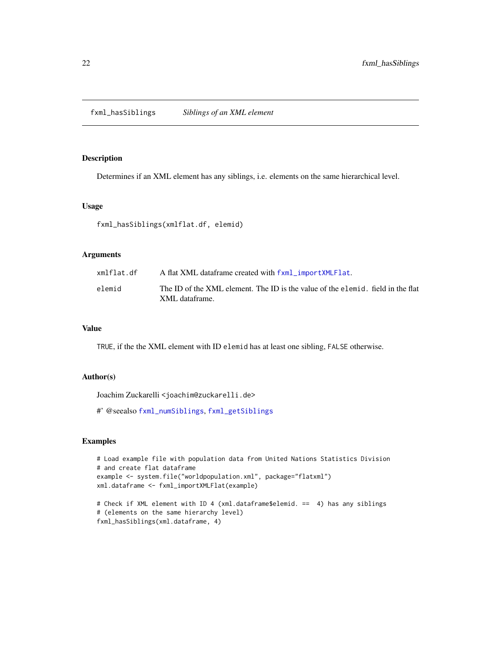<span id="page-21-1"></span><span id="page-21-0"></span>fxml\_hasSiblings *Siblings of an XML element*

# Description

Determines if an XML element has any siblings, i.e. elements on the same hierarchical level.

# Usage

fxml\_hasSiblings(xmlflat.df, elemid)

#### Arguments

| xmlflat.df | A flat XML dataframe created with fxml_importXMLFlat.                           |
|------------|---------------------------------------------------------------------------------|
| elemid     | The ID of the XML element. The ID is the value of the elemid, field in the flat |
|            | XML dataframe.                                                                  |

# Value

TRUE, if the the XML element with ID elemid has at least one sibling, FALSE otherwise.

#### Author(s)

Joachim Zuckarelli <joachim@zuckarelli.de>

#' @seealso [fxml\\_numSiblings](#page-26-1), [fxml\\_getSiblings](#page-15-1)

```
# Load example file with population data from United Nations Statistics Division
# and create flat dataframe
example <- system.file("worldpopulation.xml", package="flatxml")
xml.dataframe <- fxml_importXMLFlat(example)
# Check if XML element with ID 4 (xml.dataframe$elemid. == 4) has any siblings
# (elements on the same hierarchy level)
```

```
fxml_hasSiblings(xml.dataframe, 4)
```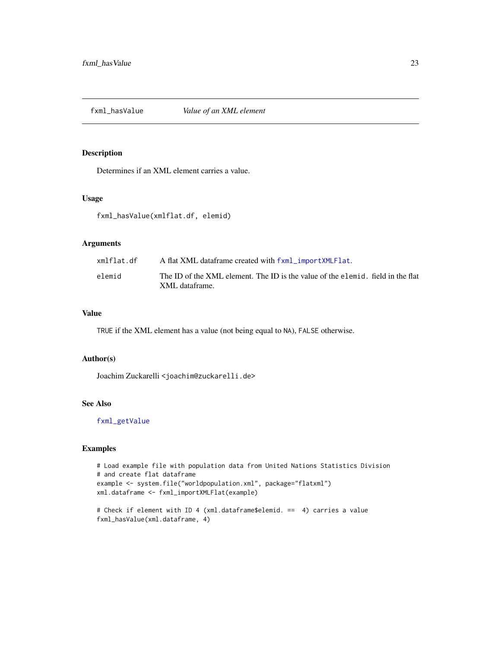<span id="page-22-1"></span><span id="page-22-0"></span>

# Description

Determines if an XML element carries a value.

# Usage

fxml\_hasValue(xmlflat.df, elemid)

# Arguments

| xmlflat.df | A flat XML dataframe created with fxml_importXMLFlat.                                             |
|------------|---------------------------------------------------------------------------------------------------|
| elemid     | The ID of the XML element. The ID is the value of the elemid, field in the flat<br>XML dataframe. |
|            |                                                                                                   |

#### Value

TRUE if the XML element has a value (not being equal to NA), FALSE otherwise.

#### Author(s)

Joachim Zuckarelli <joachim@zuckarelli.de>

# See Also

[fxml\\_getValue](#page-17-1)

```
# Load example file with population data from United Nations Statistics Division
# and create flat dataframe
example <- system.file("worldpopulation.xml", package="flatxml")
xml.dataframe <- fxml_importXMLFlat(example)
```

```
# Check if element with ID 4 (xml.dataframe$elemid. == 4) carries a value
fxml_hasValue(xml.dataframe, 4)
```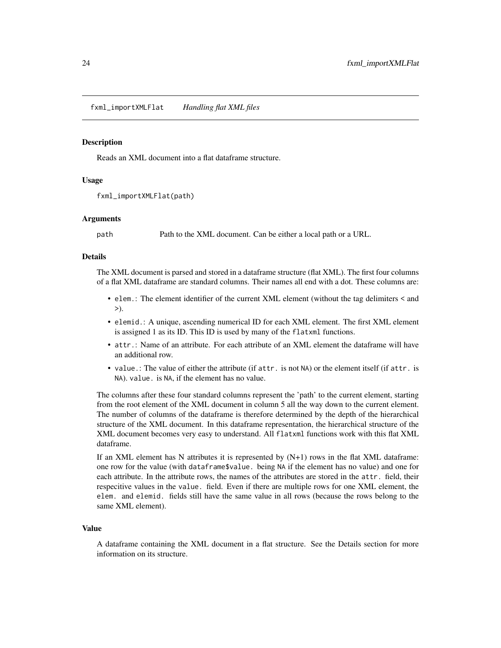<span id="page-23-1"></span><span id="page-23-0"></span>fxml\_importXMLFlat *Handling flat XML files*

#### **Description**

Reads an XML document into a flat dataframe structure.

# Usage

```
fxml_importXMLFlat(path)
```
#### Arguments

path Path to the XML document. Can be either a local path or a URL.

#### Details

The XML document is parsed and stored in a dataframe structure (flat XML). The first four columns of a flat XML dataframe are standard columns. Their names all end with a dot. These columns are:

- elem.: The element identifier of the current XML element (without the tag delimiters < and >).
- elemid.: A unique, ascending numerical ID for each XML element. The first XML element is assigned 1 as its ID. This ID is used by many of the flatxml functions.
- attr.: Name of an attribute. For each attribute of an XML element the dataframe will have an additional row.
- value.: The value of either the attribute (if attr. is not NA) or the element itself (if attr. is NA). value. is NA, if the element has no value.

The columns after these four standard columns represent the 'path' to the current element, starting from the root element of the XML document in column 5 all the way down to the current element. The number of columns of the dataframe is therefore determined by the depth of the hierarchical structure of the XML document. In this dataframe representation, the hierarchical structure of the XML document becomes very easy to understand. All flatxml functions work with this flat XML dataframe.

If an XML element has N attributes it is represented by  $(N+1)$  rows in the flat XML dataframe: one row for the value (with dataframe\$value. being NA if the element has no value) and one for each attribute. In the attribute rows, the names of the attributes are stored in the attr. field, their respecitive values in the value. field. Even if there are multiple rows for one XML element, the elem. and elemid. fields still have the same value in all rows (because the rows belong to the same XML element).

#### Value

A dataframe containing the XML document in a flat structure. See the Details section for more information on its structure.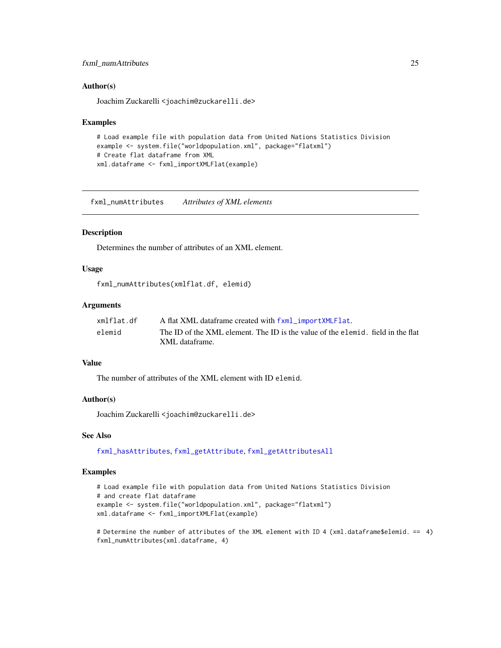# <span id="page-24-0"></span>fxml\_numAttributes 25

#### Author(s)

Joachim Zuckarelli <joachim@zuckarelli.de>

#### Examples

```
# Load example file with population data from United Nations Statistics Division
example <- system.file("worldpopulation.xml", package="flatxml")
# Create flat dataframe from XML
xml.dataframe <- fxml_importXMLFlat(example)
```
<span id="page-24-1"></span>fxml\_numAttributes *Attributes of XML elements*

## Description

Determines the number of attributes of an XML element.

#### Usage

fxml\_numAttributes(xmlflat.df, elemid)

# Arguments

| xmlflat.df | A flat XML dataframe created with fxml_importXMLFlat.                           |
|------------|---------------------------------------------------------------------------------|
| elemid     | The ID of the XML element. The ID is the value of the elemid, field in the flat |
|            | XML dataframe.                                                                  |

#### Value

The number of attributes of the XML element with ID elemid.

#### Author(s)

Joachim Zuckarelli <joachim@zuckarelli.de>

## See Also

[fxml\\_hasAttributes](#page-18-1), [fxml\\_getAttribute](#page-9-1), [fxml\\_getAttributesAll](#page-10-1)

```
# Load example file with population data from United Nations Statistics Division
# and create flat dataframe
example <- system.file("worldpopulation.xml", package="flatxml")
xml.dataframe <- fxml_importXMLFlat(example)
```

```
# Determine the number of attributes of the XML element with ID 4 (xml.dataframe$elemid. == 4)
fxml_numAttributes(xml.dataframe, 4)
```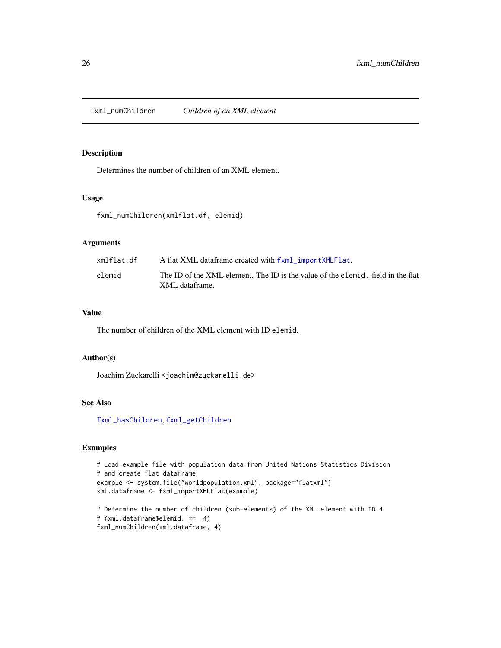<span id="page-25-1"></span><span id="page-25-0"></span>fxml\_numChildren *Children of an XML element*

# Description

Determines the number of children of an XML element.

# Usage

fxml\_numChildren(xmlflat.df, elemid)

# Arguments

| xmlflat.df | A flat XML dataframe created with fxml_importXMLFlat.                                             |
|------------|---------------------------------------------------------------------------------------------------|
| elemid     | The ID of the XML element. The ID is the value of the elemid, field in the flat<br>XML dataframe. |

#### Value

The number of children of the XML element with ID elemid.

# Author(s)

Joachim Zuckarelli <joachim@zuckarelli.de>

# See Also

[fxml\\_hasChildren](#page-19-1), [fxml\\_getChildren](#page-11-1)

```
# Load example file with population data from United Nations Statistics Division
# and create flat dataframe
example <- system.file("worldpopulation.xml", package="flatxml")
xml.dataframe <- fxml_importXMLFlat(example)
```

```
# Determine the number of children (sub-elements) of the XML element with ID 4
# (xml.dataframe$elemid. == 4)
fxml_numChildren(xml.dataframe, 4)
```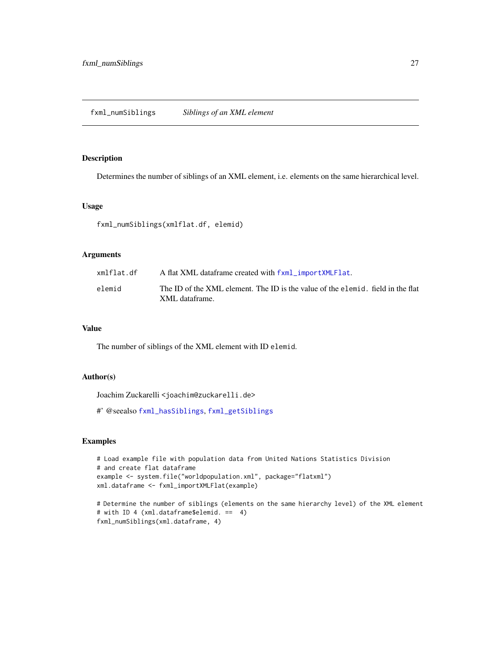# <span id="page-26-1"></span><span id="page-26-0"></span>Description

Determines the number of siblings of an XML element, i.e. elements on the same hierarchical level.

#### Usage

fxml\_numSiblings(xmlflat.df, elemid)

#### Arguments

| xmlflat.df | A flat XML dataframe created with fxml_importXMLFlat.                           |
|------------|---------------------------------------------------------------------------------|
| elemid     | The ID of the XML element. The ID is the value of the elemid, field in the flat |
|            | XML dataframe.                                                                  |

# Value

The number of siblings of the XML element with ID elemid.

# Author(s)

Joachim Zuckarelli <joachim@zuckarelli.de>

#' @seealso [fxml\\_hasSiblings](#page-21-1), [fxml\\_getSiblings](#page-15-1)

```
# Load example file with population data from United Nations Statistics Division
# and create flat dataframe
example <- system.file("worldpopulation.xml", package="flatxml")
xml.dataframe <- fxml_importXMLFlat(example)
```

```
# Determine the number of siblings (elements on the same hierarchy level) of the XML element
# with ID 4 (xml.dataframe$elemid. == 4)
fxml_numSiblings(xml.dataframe, 4)
```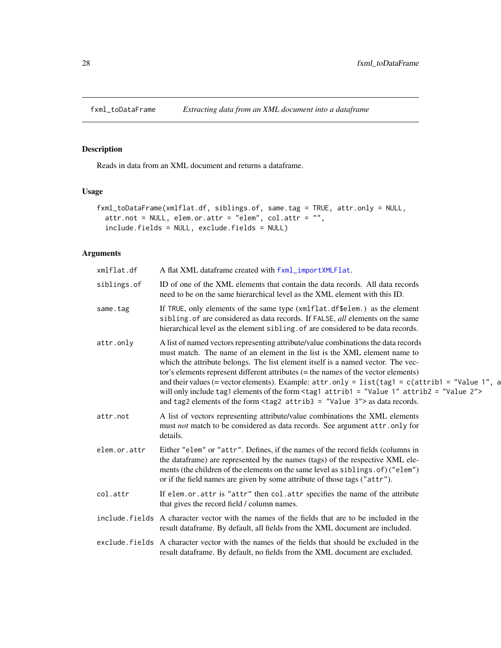<span id="page-27-1"></span><span id="page-27-0"></span>

# Description

Reads in data from an XML document and returns a dataframe.

# Usage

```
fxml_toDataFrame(xmlflat.df, siblings.of, same.tag = TRUE, attr.only = NULL,
 attr.not = NULL, elem.or.attr = "elem", col.attr = "",
  include.fields = NULL, exclude.fields = NULL)
```
# Arguments

| xmlflat.df   | A flat XML dataframe created with fxml_importXMLFlat.                                                                                                                                                                                                                                                                                                                                                                                                                                                                                                                                                                                                                |
|--------------|----------------------------------------------------------------------------------------------------------------------------------------------------------------------------------------------------------------------------------------------------------------------------------------------------------------------------------------------------------------------------------------------------------------------------------------------------------------------------------------------------------------------------------------------------------------------------------------------------------------------------------------------------------------------|
| siblings.of  | ID of one of the XML elements that contain the data records. All data records<br>need to be on the same hierarchical level as the XML element with this ID.                                                                                                                                                                                                                                                                                                                                                                                                                                                                                                          |
| same.tag     | If TRUE, only elements of the same type (xmlflat.df\$elem.) as the element<br>sibling of are considered as data records. If FALSE, all elements on the same<br>hierarchical level as the element sibling. of are considered to be data records.                                                                                                                                                                                                                                                                                                                                                                                                                      |
| attr.only    | A list of named vectors representing attribute/value combinations the data records<br>must match. The name of an element in the list is the XML element name to<br>which the attribute belongs. The list element itself is a named vector. The vec-<br>tor's elements represent different attributes $(=$ the names of the vector elements)<br>and their values (= vector elements). Example: $attr-only = list(tag1 = c(atrib1 = "Value 1", a$<br>will only include tag1 elements of the form $\text{tag1}$ attrib1 = "Value 1" attrib2 = "Value 2"><br>and tag2 elements of the form $\langle \text{tag2} \atop \text{atrich3} \equiv$ "Value 3"> as data records. |
| attr.not     | A list of vectors representing attribute/value combinations the XML elements<br>must not match to be considered as data records. See argument attr.only for<br>details.                                                                                                                                                                                                                                                                                                                                                                                                                                                                                              |
| elem.or.attr | Either "elem" or "attr". Defines, if the names of the record fields (columns in<br>the dataframe) are represented by the names (tags) of the respective XML ele-<br>ments (the children of the elements on the same level as siblings. of) ("elem")<br>or if the field names are given by some attribute of those tags ("attr").                                                                                                                                                                                                                                                                                                                                     |
| col.attr     | If elem.or.attr is "attr" then col.attr specifies the name of the attribute<br>that gives the record field / column names.                                                                                                                                                                                                                                                                                                                                                                                                                                                                                                                                           |
|              | include fields A character vector with the names of the fields that are to be included in the<br>result data frame. By default, all fields from the XML document are included.                                                                                                                                                                                                                                                                                                                                                                                                                                                                                       |
|              | exclude, fields A character vector with the names of the fields that should be excluded in the<br>result dataframe. By default, no fields from the XML document are excluded.                                                                                                                                                                                                                                                                                                                                                                                                                                                                                        |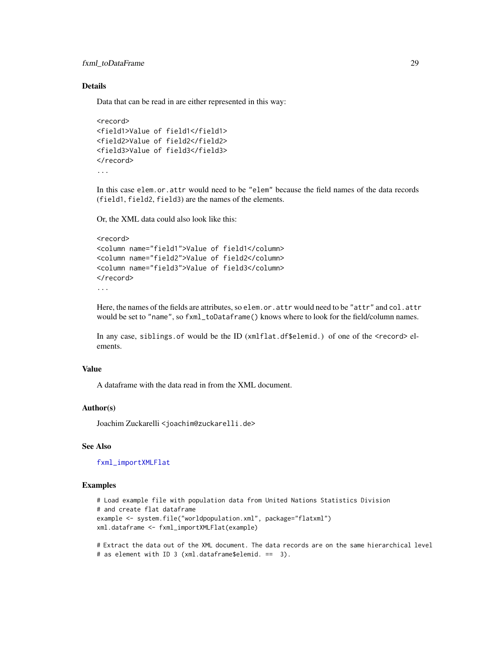<span id="page-28-0"></span>fxml\_toDataFrame 29

# Details

Data that can be read in are either represented in this way:

```
<record>
<field1>Value of field1</field1>
<field2>Value of field2</field2>
<field3>Value of field3</field3>
</record>
...
```
In this case elem.or.attr would need to be "elem" because the field names of the data records (field1, field2, field3) are the names of the elements.

Or, the XML data could also look like this:

```
<record>
<column name="field1">Value of field1</column>
<column name="field2">Value of field2</column>
<column name="field3">Value of field3</column>
</record>
...
```
Here, the names of the fields are attributes, so elem.or.attr would need to be "attr" and col.attr would be set to "name", so fxml\_toDataframe() knows where to look for the field/column names.

In any case, siblings.of would be the ID (xmlflat.df\$elemid.) of one of the <record> elements.

# Value

A dataframe with the data read in from the XML document.

#### Author(s)

Joachim Zuckarelli <joachim@zuckarelli.de>

#### See Also

[fxml\\_importXMLFlat](#page-23-1)

#### Examples

```
# Load example file with population data from United Nations Statistics Division
# and create flat dataframe
example <- system.file("worldpopulation.xml", package="flatxml")
xml.dataframe <- fxml_importXMLFlat(example)
```
# Extract the data out of the XML document. The data records are on the same hierarchical level # as element with ID 3 (xml.dataframe\$elemid. == 3).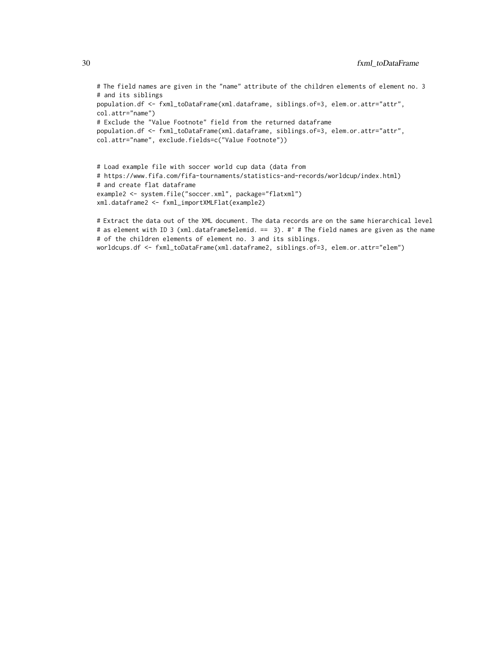```
# The field names are given in the "name" attribute of the children elements of element no. 3
# and its siblings
population.df <- fxml_toDataFrame(xml.dataframe, siblings.of=3, elem.or.attr="attr",
col.attr="name")
# Exclude the "Value Footnote" field from the returned dataframe
population.df <- fxml_toDataFrame(xml.dataframe, siblings.of=3, elem.or.attr="attr",
col.attr="name", exclude.fields=c("Value Footnote"))
```

```
# Load example file with soccer world cup data (data from
# https://www.fifa.com/fifa-tournaments/statistics-and-records/worldcup/index.html)
# and create flat dataframe
example2 <- system.file("soccer.xml", package="flatxml")
xml.dataframe2 <- fxml_importXMLFlat(example2)
```

```
# Extract the data out of the XML document. The data records are on the same hierarchical level
# as element with ID 3 (xml.dataframe$elemid. == 3). #' # The field names are given as the name
# of the children elements of element no. 3 and its siblings.
worldcups.df <- fxml_toDataFrame(xml.dataframe2, siblings.of=3, elem.or.attr="elem")
```